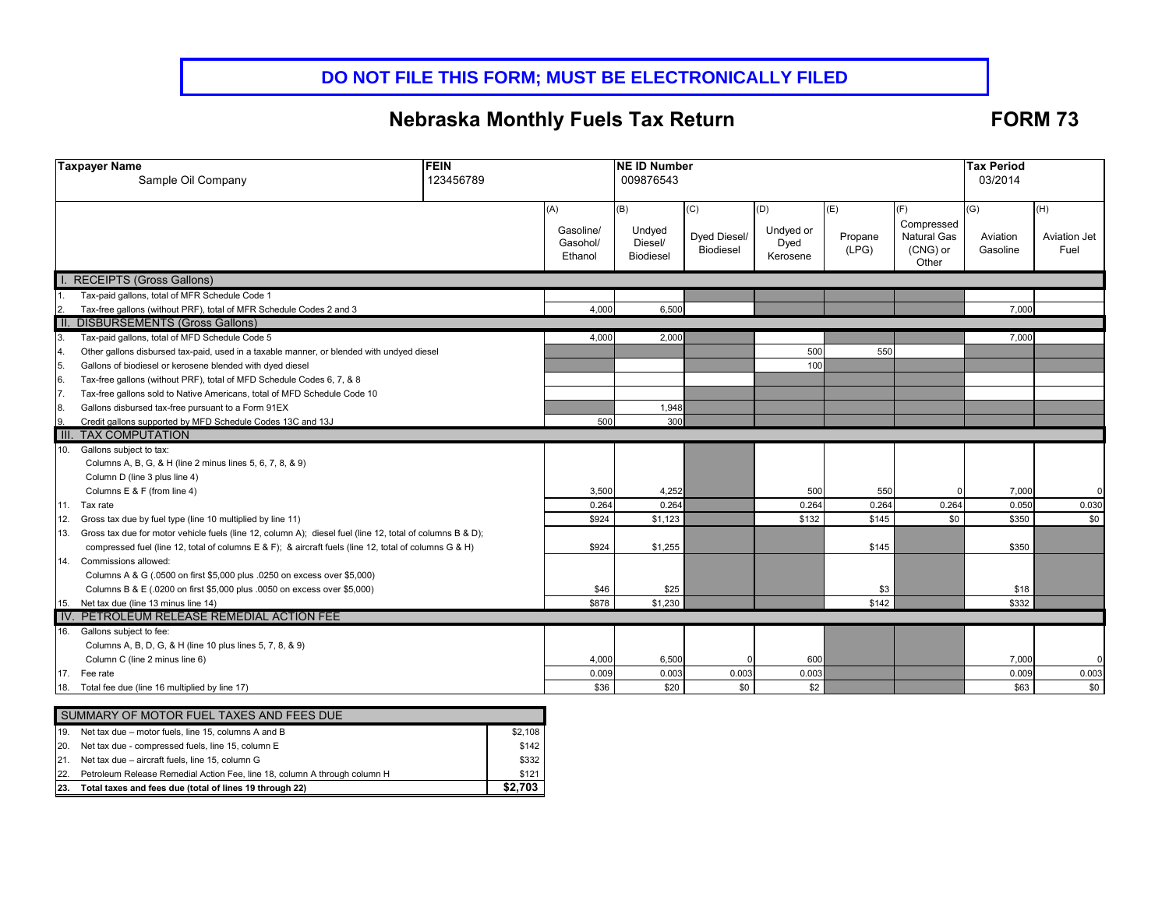# **DO NOT FILE THIS FORM; MUST BE ELECTRONICALLY FILED**

# **Nebraska Monthly Fuels Tax Return FORM 73**

| <b>FEIN</b><br><b>Taxpayer Name</b>                                                                                                                           |  |                       | <b>NE ID Number</b> |                  |                   |         |                    | <b>Tax Period</b> |              |
|---------------------------------------------------------------------------------------------------------------------------------------------------------------|--|-----------------------|---------------------|------------------|-------------------|---------|--------------------|-------------------|--------------|
| Sample Oil Company<br>123456789                                                                                                                               |  |                       | 009876543           |                  |                   |         |                    | 03/2014           |              |
|                                                                                                                                                               |  |                       |                     |                  |                   |         |                    |                   |              |
|                                                                                                                                                               |  | (A)                   | (B)                 | (C)              | (D)               | (E)     | (F)                | (G)               | (H)          |
|                                                                                                                                                               |  |                       |                     |                  |                   |         | Compressed         |                   |              |
|                                                                                                                                                               |  | Gasoline/<br>Gasohol/ | Undyed<br>Diesel/   | Dyed Diesel/     | Undyed or<br>Dyed | Propane | <b>Natural Gas</b> | Aviation          | Aviation Jet |
|                                                                                                                                                               |  | Ethanol               | <b>Biodiesel</b>    | <b>Biodiesel</b> | Kerosene          | (LPG)   | (CNG) or           | Gasoline          | Fuel         |
|                                                                                                                                                               |  |                       |                     |                  |                   |         | Other              |                   |              |
| <b>RECEIPTS (Gross Gallons)</b>                                                                                                                               |  |                       |                     |                  |                   |         |                    |                   |              |
| Tax-paid gallons, total of MFR Schedule Code 1                                                                                                                |  |                       |                     |                  |                   |         |                    |                   |              |
| 2. Tax-free gallons (without PRF), total of MFR<br>  II. DISBURSEMENTS (Gross Gallons)<br>Tax-free gallons (without PRF), total of MFR Schedule Codes 2 and 3 |  | 4,000                 | 6,500               |                  |                   |         |                    | 7,000             |              |
|                                                                                                                                                               |  |                       |                     |                  |                   |         |                    |                   |              |
| 3.<br>Tax-paid gallons, total of MFD Schedule Code 5                                                                                                          |  | 4,000                 | 2.000               |                  |                   |         |                    | 7.000             |              |
| 4.<br>Other gallons disbursed tax-paid, used in a taxable manner, or blended with undyed diesel                                                               |  |                       |                     |                  | 500               | 550     |                    |                   |              |
| 5.<br>Gallons of biodiesel or kerosene blended with dyed diesel                                                                                               |  |                       |                     |                  | 100               |         |                    |                   |              |
| 6.<br>Tax-free gallons (without PRF), total of MFD Schedule Codes 6, 7, & 8                                                                                   |  |                       |                     |                  |                   |         |                    |                   |              |
| 7.<br>Tax-free gallons sold to Native Americans, total of MFD Schedule Code 10                                                                                |  |                       |                     |                  |                   |         |                    |                   |              |
| 8.<br>Gallons disbursed tax-free pursuant to a Form 91EX                                                                                                      |  |                       | 1,948               |                  |                   |         |                    |                   |              |
| 9.<br>Credit gallons supported by MFD Schedule Codes 13C and 13J                                                                                              |  | 500                   | 300                 |                  |                   |         |                    |                   |              |
| III.<br><b>TAX COMPUTATION</b>                                                                                                                                |  |                       |                     |                  |                   |         |                    |                   |              |
| 10. Gallons subject to tax:                                                                                                                                   |  |                       |                     |                  |                   |         |                    |                   |              |
| Columns A, B, G, & H (line 2 minus lines 5, 6, 7, 8, & 9)                                                                                                     |  |                       |                     |                  |                   |         |                    |                   |              |
| Column D (line 3 plus line 4)                                                                                                                                 |  |                       |                     |                  |                   |         |                    |                   |              |
| Columns E & F (from line 4)                                                                                                                                   |  | 3,500                 | 4,252               |                  | 500               | 550     |                    | 7,000             |              |
| 11.<br>Tax rate                                                                                                                                               |  | 0.264                 | 0.264               |                  | 0.264             | 0.264   | 0.264              | 0.050             | 0.030        |
| 12.<br>Gross tax due by fuel type (line 10 multiplied by line 11)                                                                                             |  | \$924                 | \$1,123             |                  | \$132             | \$145   | \$0                | \$350             | \$0          |
| Gross tax due for motor vehicle fuels (line 12, column A); diesel fuel (line 12, total of columns B & D);<br>13.                                              |  |                       |                     |                  |                   |         |                    |                   |              |
| compressed fuel (line 12, total of columns E & F); & aircraft fuels (line 12, total of columns G & H)                                                         |  | \$924                 | \$1.255             |                  |                   | \$145   |                    | \$350             |              |
| Commissions allowed:<br>14.                                                                                                                                   |  |                       |                     |                  |                   |         |                    |                   |              |
| Columns A & G (.0500 on first \$5,000 plus .0250 on excess over \$5,000)                                                                                      |  |                       |                     |                  |                   |         |                    |                   |              |
| Columns B & E (.0200 on first \$5,000 plus .0050 on excess over \$5,000)                                                                                      |  | \$46                  | \$25                |                  |                   | \$3     |                    | \$18              |              |
| 15. Net tax due (line 13 minus line 14)                                                                                                                       |  | \$878                 | \$1,230             |                  |                   | \$142   |                    | \$332             |              |
| IV. PETROLEUM RELEASE REMEDIAL ACTION FEE                                                                                                                     |  |                       |                     |                  |                   |         |                    |                   |              |
| 16. Gallons subject to fee:                                                                                                                                   |  |                       |                     |                  |                   |         |                    |                   |              |
| Columns A, B, D, G, & H (line 10 plus lines 5, 7, 8, & 9)                                                                                                     |  |                       |                     |                  |                   |         |                    |                   |              |
| Column C (line 2 minus line 6)                                                                                                                                |  | 4,000                 | 6,500               |                  | 600               |         |                    | 7,000             | 0            |
| 17. Fee rate                                                                                                                                                  |  | 0.009                 | 0.003               | 0.003            | 0.003             |         |                    | 0.009             | 0.003        |
| Total fee due (line 16 multiplied by line 17)<br>18.                                                                                                          |  | \$36                  | \$20                | \$0              | \$2               |         |                    | \$63              | \$0          |
|                                                                                                                                                               |  |                       |                     |                  |                   |         |                    |                   |              |
| SUMMARY OF MOTOR FUEL TAXES AND FEES DUE                                                                                                                      |  |                       |                     |                  |                   |         |                    |                   |              |

|     | I SUMMARY OF MOTOR FUEL TAXES AND FEES DUE                                |         |  |  |  |  |
|-----|---------------------------------------------------------------------------|---------|--|--|--|--|
|     | 19. Net tax due – motor fuels, line 15, columns A and B                   | \$2.108 |  |  |  |  |
| 20. | Net tax due - compressed fuels, line 15, column E                         | \$142   |  |  |  |  |
|     | 21. Net tax due - aircraft fuels, line 15, column G                       | \$332   |  |  |  |  |
| 22. | Petroleum Release Remedial Action Fee, line 18, column A through column H | \$121   |  |  |  |  |
| 23. | Total taxes and fees due (total of lines 19 through 22)                   |         |  |  |  |  |